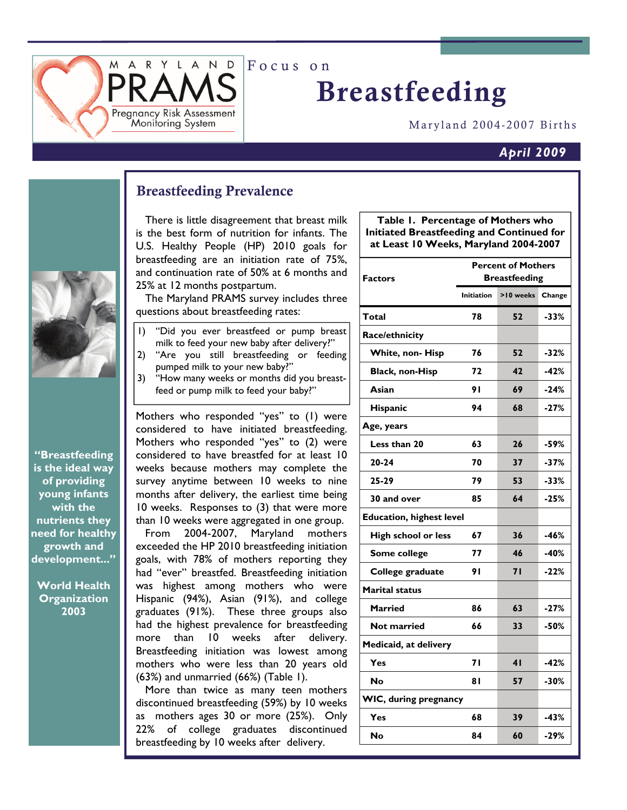Focus on

# Breastfeeding

Maryland 2004-2007 Births

#### *April 2009*



Breastfeeding Prevalence

RYLAND<sup>1</sup>

Pregnancy Risk Assessment Monitoring System

> There is little disagreement that breast milk is the best form of nutrition for infants. The U.S. Healthy People (HP) 2010 goals for breastfeeding are an initiation rate of 75%, and continuation rate of 50% at 6 months and 25% at 12 months postpartum.

> The Maryland PRAMS survey includes three questions about breastfeeding rates:

- 1) "Did you ever breastfeed or pump breast milk to feed your new baby after delivery?"
- 2) "Are you still breastfeeding or feeding pumped milk to your new baby?"
- 3) "How many weeks or months did you breastfeed or pump milk to feed your baby?"

Mothers who responded "yes" to (1) were considered to have initiated breastfeeding. Mothers who responded "yes" to (2) were considered to have breastfed for at least 10 weeks because mothers may complete the survey anytime between 10 weeks to nine months after delivery, the earliest time being 10 weeks. Responses to (3) that were more than 10 weeks were aggregated in one group.

 From 2004-2007, Maryland mothers exceeded the HP 2010 breastfeeding initiation goals, with 78% of mothers reporting they had "ever" breastfed. Breastfeeding initiation was highest among mothers who were Hispanic (94%), Asian (91%), and college graduates (91%). These three groups also had the highest prevalence for breastfeeding more than 10 weeks after delivery. Breastfeeding initiation was lowest among mothers who were less than 20 years old (63%) and unmarried (66%) (Table 1).

 More than twice as many teen mothers discontinued breastfeeding (59%) by 10 weeks as mothers ages 30 or more (25%). Only 22% of college graduates discontinued breastfeeding by 10 weeks after delivery.

**Table 1. Percentage of Mothers who Initiated Breastfeeding and Continued for at Least 10 Weeks, Maryland 2004-2007** 

| <b>Factors</b>                  | <b>Percent of Mothers</b> |           |        |
|---------------------------------|---------------------------|-----------|--------|
|                                 | <b>Breastfeeding</b>      |           |        |
|                                 | <b>Initiation</b>         | >10 weeks | Change |
| Total                           | 78                        | 52        | $-33%$ |
| Race/ethnicity                  |                           |           |        |
| White, non-Hisp                 | 76                        | 52        | -32%   |
| <b>Black, non-Hisp</b>          | 72                        | 42        | -42%   |
| Asian                           | 91                        | 69        | $-24%$ |
| Hispanic                        | 94                        | 68        | $-27%$ |
| Age, years                      |                           |           |        |
| Less than 20                    | 63                        | 26        | $-59%$ |
| $20 - 24$                       | 70                        | 37        | -37%   |
| 25-29                           | 79                        | 53        | $-33%$ |
| 30 and over                     | 85                        | 64        | $-25%$ |
| <b>Education, highest level</b> |                           |           |        |
| High school or less             | 67                        | 36        | $-46%$ |
| Some college                    | 77                        | 46        | $-40%$ |
| College graduate                | 91                        | 71        | $-22%$ |
| <b>Marital status</b>           |                           |           |        |
| <b>Married</b>                  | 86                        | 63        | $-27%$ |
| <b>Not married</b>              | 66                        | 33        | $-50%$ |
| Medicaid, at delivery           |                           |           |        |
| Yes                             | 71                        | 41        | -42%   |
| <b>No</b>                       | 81                        | 57        | $-30%$ |
| WIC, during pregnancy           |                           |           |        |
| Yes                             | 68                        | 39        | -43%   |
| No                              | 84                        | 60        | $-29%$ |

**"Breastfeeding is the ideal way of providing young infants with the nutrients they need for healthy growth and development..."** 

**World Health Organization 2003**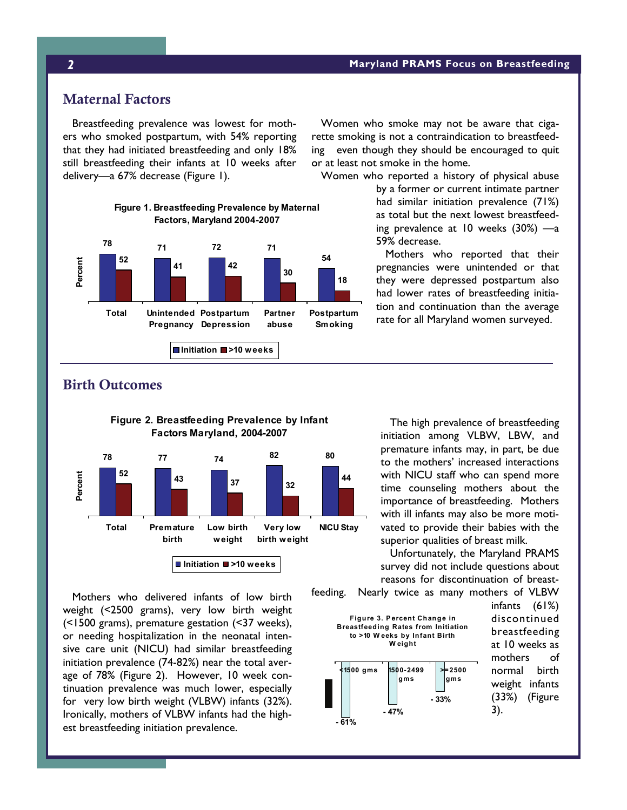#### *2* **Maryland PRAMS Focus on Breastfeeding**

### Maternal Factors

 Breastfeeding prevalence was lowest for mothers who smoked postpartum, with 54% reporting that they had initiated breastfeeding and only 18% still breastfeeding their infants at 10 weeks after delivery—a 67% decrease (Figure 1).



 Women who smoke may not be aware that cigarette smoking is not a contraindication to breastfeeding even though they should be encouraged to quit or at least not smoke in the home.

Women who reported a history of physical abuse

by a former or current intimate partner had similar initiation prevalence (71%) as total but the next lowest breastfeeding prevalence at 10 weeks (30%) —a 59% decrease.

 Mothers who reported that their pregnancies were unintended or that they were depressed postpartum also had lower rates of breastfeeding initiation and continuation than the average rate for all Maryland women surveyed.

# Birth Outcomes



 Mothers who delivered infants of low birth weight (<2500 grams), very low birth weight (<1500 grams), premature gestation (<37 weeks), or needing hospitalization in the neonatal intensive care unit (NICU) had similar breastfeeding initiation prevalence (74-82%) near the total average of 78% (Figure 2). However, 10 week continuation prevalence was much lower, especially for very low birth weight (VLBW) infants (32%). Ironically, mothers of VLBW infants had the highest breastfeeding initiation prevalence.

 The high prevalence of breastfeeding initiation among VLBW, LBW, and premature infants may, in part, be due to the mothers' increased interactions with NICU staff who can spend more time counseling mothers about the importance of breastfeeding. Mothers with ill infants may also be more motivated to provide their babies with the superior qualities of breast milk.

 Unfortunately, the Maryland PRAMS survey did not include questions about reasons for discontinuation of breast-

feeding. Nearly twice as many mothers of VLBW

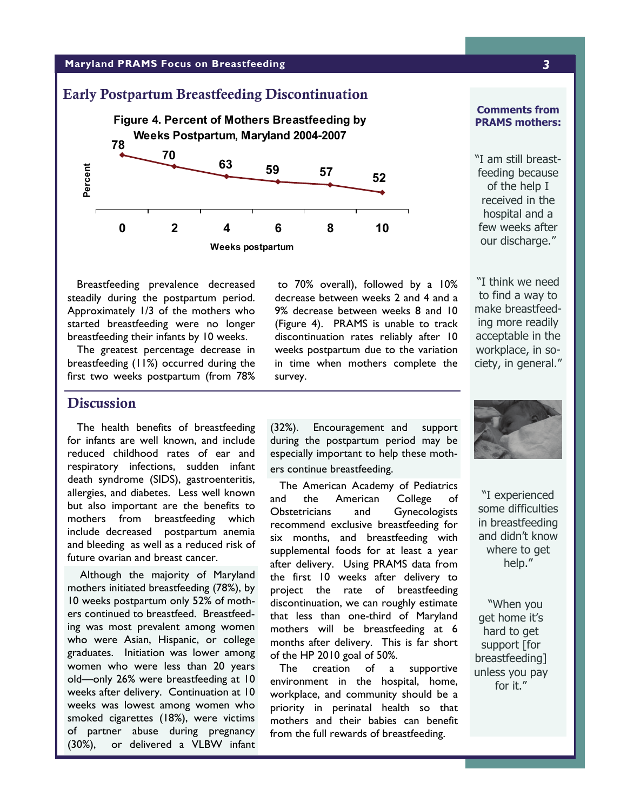#### **Maryland PRAMS Focus on Breastfeeding** *3*

# Early Postpartum Breastfeeding Discontinuation **Figure 4. Percent of Mothers Breastfeeding by Weeks Postpartum, Maryland 2004-2007 <sup>52</sup> <sup>59</sup> <sup>57</sup> <sup>63</sup> 70 78 0 2 4 6 8 10 Weeks postpartum Percent**

#### **Comments from PRAMS mothers:**

"I am still breastfeeding because of the help I received in the hospital and a few weeks after our discharge."

 Breastfeeding prevalence decreased steadily during the postpartum period. Approximately 1/3 of the mothers who started breastfeeding were no longer breastfeeding their infants by 10 weeks.

 The greatest percentage decrease in breastfeeding (11%) occurred during the first two weeks postpartum (from 78%

 to 70% overall), followed by a 10% decrease between weeks 2 and 4 and a 9% decrease between weeks 8 and 10 (Figure 4). PRAMS is unable to track discontinuation rates reliably after 10 weeks postpartum due to the variation in time when mothers complete the survey.

"I think we need to find a way to make breastfeeding more readily acceptable in the workplace, in society, in general."

## **Discussion**

 The health benefits of breastfeeding for infants are well known, and include reduced childhood rates of ear and respiratory infections, sudden infant death syndrome (SIDS), gastroenteritis, allergies, and diabetes. Less well known but also important are the benefits to mothers from breastfeeding which include decreased postpartum anemia and bleeding as well as a reduced risk of future ovarian and breast cancer.

 Although the majority of Maryland mothers initiated breastfeeding (78%), by 10 weeks postpartum only 52% of mothers continued to breastfeed. Breastfeeding was most prevalent among women who were Asian, Hispanic, or college graduates. Initiation was lower among women who were less than 20 years old—only 26% were breastfeeding at 10 weeks after delivery. Continuation at 10 weeks was lowest among women who smoked cigarettes (18%), were victims of partner abuse during pregnancy (30%), or delivered a VLBW infant

(32%). Encouragement and support during the postpartum period may be especially important to help these mothers continue breastfeeding.

 The American Academy of Pediatrics and the American College of Obstetricians and Gynecologists recommend exclusive breastfeeding for six months, and breastfeeding with supplemental foods for at least a year after delivery. Using PRAMS data from the first 10 weeks after delivery to project the rate of breastfeeding discontinuation, we can roughly estimate that less than one-third of Maryland mothers will be breastfeeding at 6 months after delivery. This is far short of the HP 2010 goal of 50%.

 The creation of a supportive environment in the hospital, home, workplace, and community should be a priority in perinatal health so that mothers and their babies can benefit from the full rewards of breastfeeding.



"I experienced some difficulties in breastfeeding and didn't know where to get help."

"When you get home it's hard to get support [for breastfeeding] unless you pay for it."